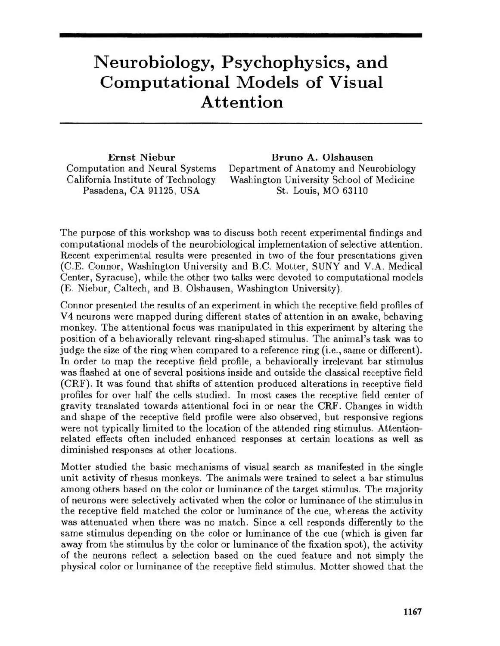## **Neurobiology, Psychophysics, and Computational Models of Visual Attention**

Ernst Niebur Computation and Neural Systems California Institute of Technology Pasadena, CA 91125, USA

Bruno A. Olshausen Department of Anatomy and Neurobiology

Washington University School of Medicine St. Louis, MO 63110

The purpose of this workshop was to discuss both recent experimental findings and computational models of the neurobiological implementation of selective attention. Recent experimental results were presented in two of the four presentations given (C.E. Connor, Washington University and B.C. Motter, SUNY and V.A. Medical Center, Syracuse), while the other two talks were devoted to computational models (E. Niebur, Caltech, and B. Olshausen, Washington University).

Connor presented the results of an experiment in which the receptive field profiles of V 4 neurons were mapped during different states of attention in an awake, behaving monkey. The attentional focus was manipulated in this experiment by altering the position of a behaviorally relevant ring-shaped stimulus. The animal's task was to judge the size of the ring when compared to a reference ring (i.e., same or different). In order to map the receptive field profile, a behaviorally irrelevant bar stimulus was flashed at one of several positions inside and outside the classical receptive field (CRF). It was found that shifts of attention produced alterations in receptive field profiles for over half the cells studied. In most cases the receptive field center of gravity translated towards attentional foci in or near the CRF. Changes in width and shape of the receptive field profile were also observed, but responsive regions were not typically limited to the location of the attended ring stimulus. Attentionrelated effects often included enhanced responses at certain locations as well as diminished responses at other locations.

Motter studied the basic mechanisms of visual search as manifested in the single unit activity of rhesus monkeys. The animals were trained to select a bar stimulus among others based on the color or luminance of the target stimulus. The majority of neurons were selectively activated when the color or luminance of the stimulus in the receptive field matched the color or luminance of the cue, whereas the activity was attenuated when there was no match. Since a cell responds differently to the same stimulus depending on the color or luminance of the cue (which is given far away from the stimulus by the color or luminance of the fixation spot), the activity of the neurons reflect a selection based on the cued feature and not simply the physical color or luminance of the receptive field stimulus. Motter showed that the